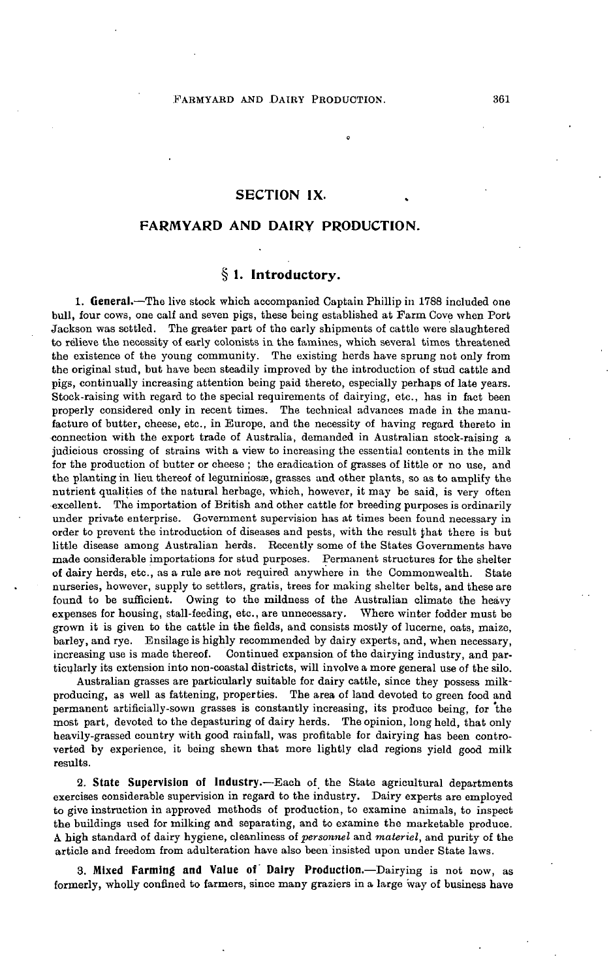## SECTION **IX.**

## FARMYARD AND DAIRY PRODUCTION.

# § 1. Introductory.

**1. General.**—The live stock which accompanied Captain Phillip in 1788 included one bull, four cows, one calf and seven pigs, these being established at Farm Cove when Port Jackson was settled. The greater part of the early shipments of cattle were slaughtered to relieve the necessity of early colonists in the famines, which several times threatened the existence of the young community. The existing herds have sprung not only from the original stud, but have been steadily improved by the introduction of stud cattle and pigs, continually increasing attention being paid thereto, especially perhaps of late years. Stock-raising with regard to the special requirements of dairying, etc., has in fact been properly considered only in recent times. The technical advances made in the manufacture of butter, cheese, etc., in Europe, and the necessity of having regard thereto in connection with the export trade of Australia, demanded in Australian stock-raising a judicious crossing of strains with a view to increasing the essential contents in the milk for the production of butter or cheese ; the eradication of grasses of little or no use, and the planting in lieu thereof of legumiriosae, grasses and other plants, so as to amplify the nutrient qualities of the natural herbage, which, however, it may be said, is very often excellent. The importation of British and other cattle for breeding purposes is ordinarily under private enterprise. Government supervision has at times been found necessary in order to prevent the introduction of diseases and pests, with the result fhat there is but little disease among Australian herds. Recently some of the States Governments have made considerable importations for stud purposes. Permanent structures for the shelter of dairy herds, etc., as a rule are not required anywhere in the Commonwealth. State nurseries, however, supply to settlers, gratis, trees for making shelter belts, and these are found to be sufficient. Owing to the mildness of the Australian climate the heavy expenses for housing, stall-feeding, etc., are unnecessary. Where winter fodder must be grown it is given to the cattle in the fields, and consists mostly of lucerne, oats, maize, barley, and rye. Ensilage is highly recommended by dairy experts, and, when necessary, increasing use is made thereof. Continued expansion of the dairying industry, and particularly its extension into non-coastal districts, will involve a more general use of the silo.

Australian grasses are particularly suitable for dairy cattle, since they possess milkproducing, as well as fattening, properties. The area of land devoted to green food and permanent artificially-sown grasses is constantly increasing, its produce being, for the most part, devoted to the depasturing of dairy herds. The opinion, long held, that only heavily-grassed country with good rainfall, was profitable for dairying has been controverted by experience, it being shewn that more lightly clad regions yield good milk results.

**2. State Supervision of Industry.—Each** of the State agricultural departments exercises considerable supervision in regard to the industry. Dairy experts are employed to give instruction in approved methods of production, to examine animals, to inspect the buildings used for milking and separating, and to examine the marketable produce. A high standard of dairy hygiene, cleanliness of *personnel* and *materiel,* and purity of the article and freedom from adulteration have also been insisted upon under State laws.

**3. Mixed Farming and Value of Dairy Production.**—Dairying is not now, as formerly, wholly confined to farmers, since many graziers in a large way of business have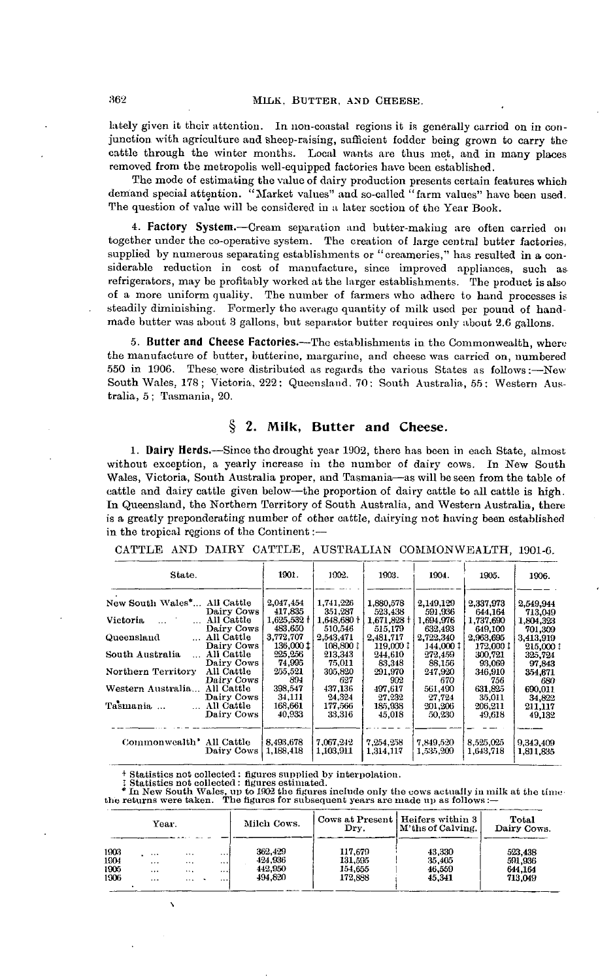lately given it their attention. In non-eoastal regions it is generally carried on in conjunction with agriculture and Sheep-raising, sufficient fodder being grown to carry the cattle through the winter months. Local wants are thus met, and in many places removed from the metropolis well-equipped factories have been established.

The mode of estimating the value of dairy production presents certain features which demand special attention. "Market values" and so-called "farm values" have been used. The question of value will be considered in a later section of the Year Book.

**4. Factory System.**—Cream separation and butter-making are often carried on together under the co-operative system. The creation of large central butter factories, supplied by numerous separating establishments or "creameries," has resulted in a considerable reduction in cost of manufacture, since improved appliances, such as refrigerators, may be profitably worked at the larger establishments. The product is also of a more uniform quality. The number of farmers who adhere to hand processes is steadily diminishing. Formerly the average quantity of milk used per pound of handmade butter was about 3 gallons, but separator butter requires only about 2.6 gallons.

**5. Butter and Cheese Factories.**—The establishments in the Commonwealth, where the manufacture of butter, butterine, margarine, and cheese was carried on, numbered 550 in 1906. These were distributed as regards the various States as follows:—New South Wales, 178; Victoria, 222; Queensland. 70: South Australia, 55: Western Australia, 5; Tasmania, 20.

## **§ 2. Milk, Butter and Cheese.**

**1. Dairy** Herds.—Since the drought year 1902, there has been in each State, almost without exception, a yearly increase in the number of dairy cows. In New South Wales, Victoria, South Australia proper, and Tasmania—as will be seen from the table of cattle and dairy cattle given below—the proportion of dairy cattle to all cattle is high. In Queensland, the Northern Territory of South Australia, and Western Australia, there is a greatly preponderating number of other cattle, dairying not having been established in the tropical regions of the Continent:—

| State.                      |            | 1901.<br>1902.         |                        | 1903.<br>1904.         |                        | 1905.                  | 1906.                  |  |
|-----------------------------|------------|------------------------|------------------------|------------------------|------------------------|------------------------|------------------------|--|
|                             |            |                        |                        |                        |                        |                        |                        |  |
| New South Wales* All Cattle | Dairy Cows | 2.047.454<br>417.835   | 1.741.226<br>351,287   | 1,880,578<br>523,438   | 2,149,129<br>591,936   | 2.337.973<br>644.164   | 2,549,944<br>713,049   |  |
| Victoria                    | All Cattle | $1,625,532 \dagger$    | $1,648,680+$           | 1,671,828 +            | 1,694,976              | 1,737,690              | 1,804.323              |  |
|                             | Dairy Cows | 483.650                | 510.546                | 515.179                | 632,493                | 649.100                | 701,309                |  |
| Queensland                  | All Cattle | 3,772,707              | 2.543.471              | 2,481,717              | 2.722.340              | 2.963.695              | 3,413,919              |  |
|                             | Dairy Cows | 136,000 tl             | 108,800 ‡              | 119,0001               | 144,000 1              | 172.000 ‡              | 215,000 1              |  |
| South Australia             | All Cattle | 225.256                | 213.343                | 244.610                | 272.459                | 300.721                | 325,724                |  |
| $\ddotsc$                   | Dairy Cows | 74.995                 | 75.011                 | 83,348                 | 88.156                 | 93,069                 | 97,843                 |  |
| Northern Territory          | All Cattle | 255.521                | 305,820                | 291,970                | 247.920                | 346,910                | 354,871                |  |
|                             | Dairy Cows | 894                    | 627                    | 902                    | 670                    | 756                    | 680                    |  |
| Western Australia           | All Cattle | 398,547                | 437,136                | 497.617                | 561,490                | 631,825                | 690.011                |  |
|                             | Dairy Cows | 34.111                 | 24,324                 | 27,232                 | 27,724                 | 35,011                 | 34,822                 |  |
| Tasmania                    | All Cattle | 168,661                | 177.566                | 185,938                | 201.206                | 206,211                | 211,117                |  |
|                             | Dairy Cows | 40.933                 | 33,316                 | 45,018                 | 50,230                 | 49.618                 | 49,132                 |  |
| Commonwealth' All Cattle    | Dairy Cows | 8.493.678<br>1,188,418 | 7.067.242<br>1,103,911 | 7,254,258<br>1,314,117 | 7.849.520<br>1.535.209 | 8.525.025<br>1.643.718 | 9,343,409<br>1,811,835 |  |

CATTLE AND DAIEY CATTLE, AUSTRALIAN COMMONWEALTH, 1901-6.

† Statistics not collected : figures supplied by interpolation.<br>
: Statistics not collected : figures estimated.<br>
\* In New South Wales, up to 1902 the figures include only the cows actually in milk at the tin<br>
the returns

| Year.                        |                          |                                  | Milch Cows.      | Dry.                                      | Cows at Present   Heifers within 3<br>M'ths of Calving. | Total<br>Dairy Cows.                 |                                          |
|------------------------------|--------------------------|----------------------------------|------------------|-------------------------------------------|---------------------------------------------------------|--------------------------------------|------------------------------------------|
| 1903<br>1904<br>1905<br>1906 | $\cdots$<br>$\cdots$<br> | $\cdots$<br>$\cdots$<br>$\cdots$ | <br><br>$\cdots$ | 362, 429<br>424.936<br>442.950<br>494.820 | 117,679<br>131,595<br>154.655<br>172,888                | 43.330<br>35.405<br>46.559<br>45.341 | 523.438<br>591.936<br>644.164<br>713.049 |
|                              | $\cdot$ $\cdot$          | $\cdots$                         |                  |                                           |                                                         |                                      |                                          |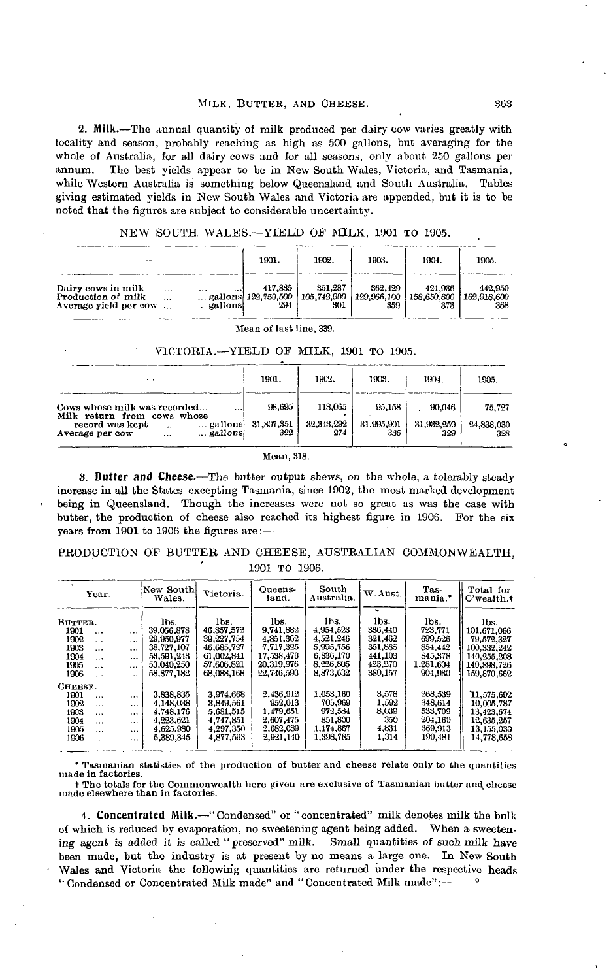**2. Milk.**—The annual quantity of milk produced per dairy cow varies greatly with locality and season, probably reaching as high as 500 gallons, but averaging for the whole of Australia, for all dairy cows and for all seasons, only about 250 gallons per annum. The best yields appear to be in New South Wales, Victoria, and Tasmania, while Western Australia is something below Queensland and South Australia. Tables giving estimated yields in New South Wales and Victoria are appended, but it is to be noted that the figures are subject to considerable uncertainty.

|  |  |  | NEW SOUTH WALES.-YIELD OF MILK, 1901 TO 1905. |  |  |  |  |  |
|--|--|--|-----------------------------------------------|--|--|--|--|--|
|--|--|--|-----------------------------------------------|--|--|--|--|--|

|                                                                   |                                          | 1901.                                 | 1902.                           | 1903.                         | 1904.                         | 1935.                         |
|-------------------------------------------------------------------|------------------------------------------|---------------------------------------|---------------------------------|-------------------------------|-------------------------------|-------------------------------|
| Dairy cows in milk<br>Production of milk<br>Average yield per cow | $\cdots$<br><br><br>$\cdots$<br>gallonsi | 417.835<br>gallons 122,750,500<br>294 | 351.287<br>1 105,742,900<br>301 | 362,429<br>129,966,100<br>359 | 424.936<br>158.650.800<br>373 | 442.950<br>162,918,600<br>368 |

| Mean of last line, 339.                                                                     |                   |                   |                   |                   |                   |  |  |  |  |
|---------------------------------------------------------------------------------------------|-------------------|-------------------|-------------------|-------------------|-------------------|--|--|--|--|
| VICTORIA.-YIELD OF MILK, 1901 TO 1905.                                                      |                   |                   |                   |                   |                   |  |  |  |  |
|                                                                                             | 1901.             | 1902.             | 1903.             | 1904.             | 1905.             |  |  |  |  |
| Cows whose milk was recorded<br><br>Milk return from cows whose                             | 98.695            | 118,065           | 95,158            | 90.046            | 75.727            |  |  |  |  |
| gallons<br>record was kept<br>$\ddotsc$<br>$\ldots$ gallons.<br>Average per cow<br>$\cdots$ | 31.807.351<br>322 | 32,343,292<br>274 | 31,995,901<br>336 | 31,932,259<br>329 | 24,838,030<br>328 |  |  |  |  |

| 322        |  |
|------------|--|
| Mean, 318. |  |

**3. Butter and Cheese.**—The butter output shews, on the whole, a tolerably steady increase in all the States excepting Tasmania, since 1902, the most marked development being in Queensland. Though the increases were not so great as was the case with butter, the production of cheese also reached its highest figure in 190G. For the six years from 1901 to 1906 the figures are:—

|  |  |               | PRODUCTION OF BUTTER AND CHEESE, AUSTRALIAN COMMONWEALTH. |
|--|--|---------------|-----------------------------------------------------------|
|  |  | 1901 то 1906. |                                                           |

| Year.                                                                                                                                                                                              | New South <br>Wales.                                                       | Victoria.                                                                  | Queens-<br>land.                                                         | South<br>Australia.                                                  | W. Aust.                                         | Tas-<br>mania.*                                                | Total for<br>$C$ 'wealth. $\dagger$                                              |
|----------------------------------------------------------------------------------------------------------------------------------------------------------------------------------------------------|----------------------------------------------------------------------------|----------------------------------------------------------------------------|--------------------------------------------------------------------------|----------------------------------------------------------------------|--------------------------------------------------|----------------------------------------------------------------|----------------------------------------------------------------------------------|
| BUTTER.<br>1901<br>$\ddotsc$<br>$\cdots$<br>1902<br>$\cdot$ $\cdot$<br>$\cdots$<br>1903<br>$\ddotsc$<br>$\ddotsc$<br>1904<br>$\cdots$<br>$\ddotsc$                                                 | lbs.<br>39,056,878<br>29.950.977<br>38,727,107<br>53.591.243               | lbs.<br>46,857,572<br>39,227,754<br>46,685,727<br>61.002.841               | lbs.<br>9,741,882<br>4,851,362<br>7,717,325<br>17,538,473                | lhs.<br>4,954,523<br>4.521.246<br>5.995.756<br>6.836.170             | lbs.<br>336.440<br>321.462<br>351.885<br>441.103 | lbs.<br>723,771<br>699,526<br>854,442<br>845,378               | lbs.<br>101,671,066<br>79,572,327<br>100,332,242<br>140.255,208                  |
| 1905<br>$\cdots$<br>$\cdots$<br>1906<br>$\ddotsc$<br>$\cdots$                                                                                                                                      | 53.040.250<br>58.877.182                                                   | 57,506,821<br>68,088,168                                                   | 20,319,976<br>22,746,593                                                 | 8.226.805<br>8,873,632                                               | 423,270<br>380,157                               | 1,281,604<br>904,930                                           | 140,898,726<br>159,870,662                                                       |
| CHEESE.<br>1901<br>$\ddotsc$<br>$\cdots$<br>1902<br>$\cdots$<br><br>1903<br>$\ddotsc$<br>$\cdots$<br>1904<br>$\ddotsc$<br>$\cdots$<br>1905<br>$\cdots$<br>$\cdots$<br>1906<br>$\cdots$<br>$\cdots$ | 3,838.835<br>4.148.038<br>4,748,176<br>4.223.621<br>4,625,980<br>5,389,345 | 3.974.668<br>3.849.561<br>5.681.515<br>4.747.851<br>4.297.350<br>4.877,593 | 2,436,912<br>952,013<br>1,479,651<br>2.607.475<br>2,682,089<br>2,921,140 | 1.053.160<br>705,969<br>972.584<br>851,800<br>1.174.867<br>1,398,785 | 3.578<br>1.592<br>8,039<br>350<br>4,831<br>1,314 | 268.539<br>348,614<br>533,709<br>204,160<br>369,913<br>190,481 | 11,575,692<br>10,005,787<br>13.423,674<br>12,635,257<br>13,155,030<br>14,778,658 |

\* Tasmanian statistics of the production of butter and cheese relate only to the quantities made in factories.

t The totals for the Commonwealth here given are exclusive of Tasmanian butter and cheese made elsewhere than in factories.

**4. Concentrated Milk.**—"Condensed" or "concentrated" milk denotes milk the bulk of which is reduced by evaporation, no sweetening agent being added. When a sweetening agent is added it is called " preserved" milk. Small quantities of such milk have been made, but the industry is at present by no means a large one. In New South Wales and Victoria the following quantities are returned under the respective heads "Condensed or Concentrated Milk made" and "Concentrated Milk made":— °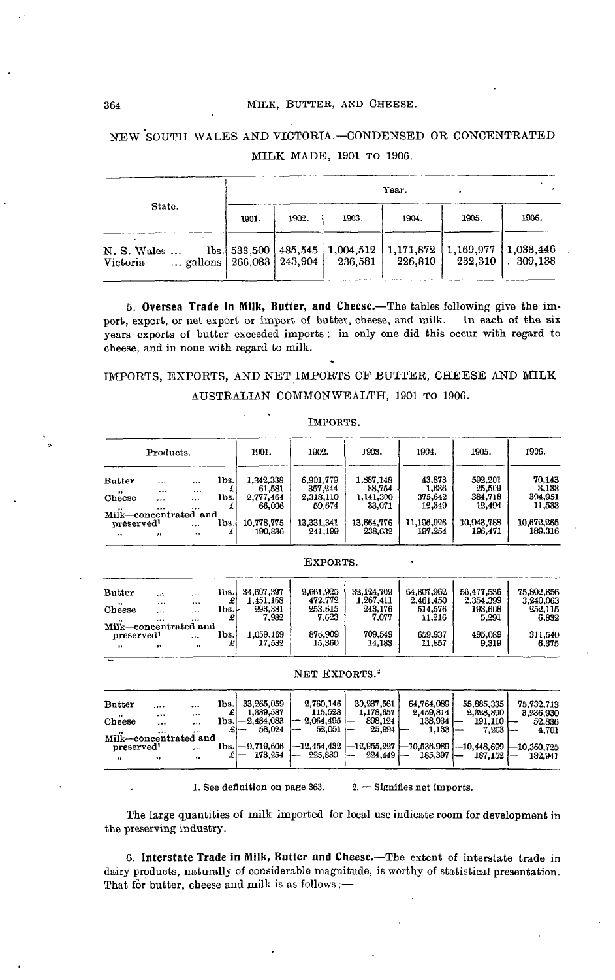#### 364 MILK, BUTTER, AND CHEESE.

NEW SOUTH WALES AND VICTOBIA.—CONDENSED OB CONCENTRATED MILK MADE, 1901 TO 1906.

|                                                              | Year. |       |           |                                            |       |                 |  |  |  |
|--------------------------------------------------------------|-------|-------|-----------|--------------------------------------------|-------|-----------------|--|--|--|
| State.                                                       | 1901. | 1902. | 1903.     | 1904.                                      | 1905. | 1906.           |  |  |  |
| N. S. Wales<br>gallons   $266,083$   $243,904$  <br>Victoria |       |       | $236.581$ | $\{1,169,977\}$ $\{1,033,446\}$<br>226.810 |       | 232.310 309.138 |  |  |  |

**5. Oversea Trade in Milk, Butter, and Cheese.**—The tables following give the import, export, or net export or import of butter, cheese, and milk. In each of the six years exports of butter exceeded imports ; in only one did this occur with regard to cheese, and in none with regard to milk.

# IMPORTS, EXPORTS, AND NET IMPORTS OF BUTTER, CHEESE AND MILK AUSTRALIAN COMMONWEALTH, 1901 TO 1906.

IMPORTS.

| Products.                                       |                              |                                      | 1901.        | 1902.                                      | 1903.                                       | 1904.                                      | 1905.                                | 1906.                                  |                                      |
|-------------------------------------------------|------------------------------|--------------------------------------|--------------|--------------------------------------------|---------------------------------------------|--------------------------------------------|--------------------------------------|----------------------------------------|--------------------------------------|
| <b>Butter</b><br>$\bullet\bullet$<br>Cheese     | $\cdots$<br><br>$\cdots$<br> | $\cdots$<br><br>$\cdots$<br>$\cdots$ | lbs.<br>Ibs. | 1,342,338<br>61.581<br>2.777.464<br>66,006 | 6.901,779<br>357,244<br>2,318,110<br>59.674 | 1,887,148<br>88,754<br>1,141,300<br>33,071 | 43,873<br>1,636<br>375,642<br>12,349 | 592,201<br>25,509<br>384.718<br>12.494 | 70,143<br>3,133<br>304,951<br>11,533 |
| Milk-concentrated and<br>preserved<br>$\bullet$ | $\bullet\bullet$             | $\cdots$<br>                         | lbs.         | 10.778.775<br>190.836                      | 13.331.341<br>241.199                       | 13,664,776<br>238.632                      | 11.196.926<br>197.254                | 10,943,788<br>196.471                  | 10,672,265<br>189.316                |

| EXPORTS. |
|----------|
|----------|

| <b>Butter</b><br>$^{\bullet}$<br>Cheese<br>$\ddot{\phantom{1}}$ | $\mathbf{A}$<br>$\cdots$<br>$\cdots$<br>$\cdots$ | $\cdots$<br>$\cdots$<br><br> | lbs.l<br>æ<br>lbs.l | 34.607.397<br>1.451.168<br>293,381<br>7,982 | 9.661.925<br>472,772<br>253.615<br>7.623 | 32.124.709<br>1,267,411<br>243,176<br>7.077 | 64,807,962<br>2,461,450<br>514.576<br>11.216 | 56.477.536<br>2,354,399<br>193.608<br>5.291 | 75.802.856<br>3.240.063<br>252,115<br>6,832 |
|-----------------------------------------------------------------|--------------------------------------------------|------------------------------|---------------------|---------------------------------------------|------------------------------------------|---------------------------------------------|----------------------------------------------|---------------------------------------------|---------------------------------------------|
| Milk-concentrated and<br>preserved <sup>1</sup><br>.,           | ,,                                               | <br>$\bullet$                | lbs.                | 1.059,169<br>17.582                         | 876.909<br>15,360                        | 709.549<br>14.183                           | 659.937<br>11.857                            | 495,089<br>9,319                            | 311,540<br>6,375                            |

#### NET EXPORTS.<sup>2</sup>

| <b>Butter</b><br>.<br>$\cdots$        | 33.265.059<br>lbs. | 2.760,146<br>115.528<br>1.389.587        | 30,237,561<br>1.178.657     | 64.764.089<br>2,459,814 | 55,885,335                              | 75.732.713                           |
|---------------------------------------|--------------------|------------------------------------------|-----------------------------|-------------------------|-----------------------------------------|--------------------------------------|
| <br><br>$\cdots$<br>Cheese<br><br>    | lbs.l—2.484.083    | 2.064.495<br>-<br>52.051<br>58,024<br>1. | 898.124<br>25.994           | 138,934<br>1,133        | 2,328,890<br>191.110<br>--<br>$7,203$ - | 3.236.930<br>52,836                  |
| <br>$\cdots$<br>Milk-concentrated and | $1bs. -9.719.606$  | $-12.454.432$                            | $-12,955,227$ $-10,536,989$ |                         |                                         | 4,701<br>$-10,448,699$ $-10,360,725$ |
| preserved'<br><br>,,<br>,,<br>,,      |                    | 225,839<br>173.254<br>--                 | $224.449 -$<br>—            | 185,397                 | $187.152$ -                             | 182.941                              |

1. See definition on page 363.  $2. -$  Signifies net imports.

The large quantities of milk imported for local use indicate room for development in the preserving industry.

**6. Interstate Trade in Milk, Butter and Cheese.**—The extent of interstate trade in dairy products, naturally of considerable magnitude, is worthy of statistical presentation. That for butter, cheese and milk is as follows:—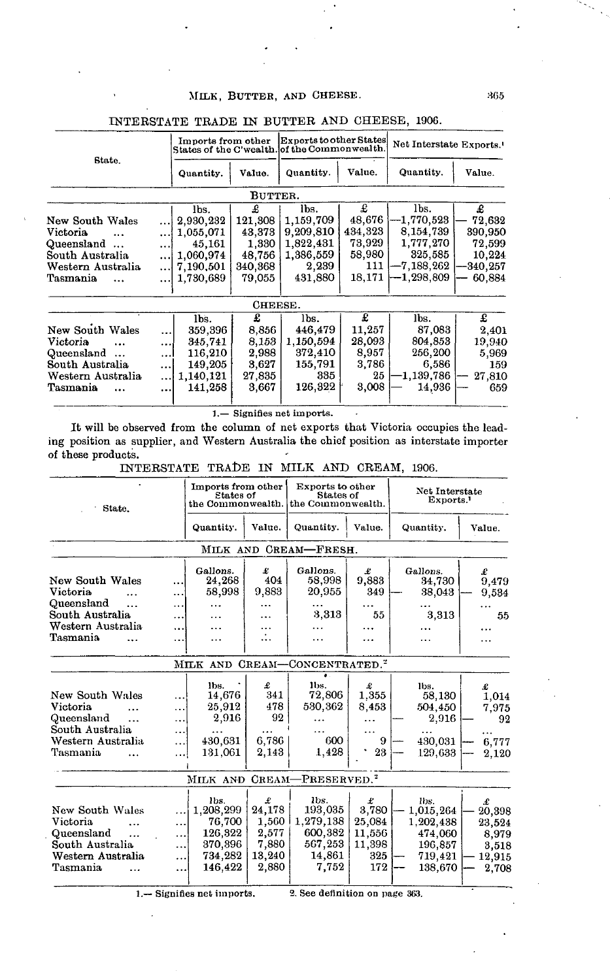### MILK, BUTTER, AND CHEESE. 365

|                         |          | Imports from other |         | Exports to other States<br>States of the C'wealth. of the Commonwealth. |         | Net Interstate Exports. |          |  |
|-------------------------|----------|--------------------|---------|-------------------------------------------------------------------------|---------|-------------------------|----------|--|
| State.                  |          | Quantity.          | Value.  | Quantity.                                                               | Value.  | Quantity.               | Value.   |  |
|                         |          |                    | BUTTER. |                                                                         |         |                         |          |  |
|                         |          | lbs.               | £       | lbs.                                                                    | £       | lbs.                    | £        |  |
| New South Wales         |          | 2,930,232          | 121,308 | 1,159,709                                                               | 48,676  | -1,770,523              | 72.632   |  |
| Victoria                |          | 1,055,071          | 43,373  | 9.209.810                                                               | 434,323 | 8,154,739               | 390,950  |  |
| Queensland<br>$\ddotsc$ | $\cdots$ | 45,161             | 1.330   | 1,822,431                                                               | 73,929  | 1,777,270               | 72,599   |  |
| South Australia         |          | 1.060,974          | 48,756  | 1,386,559                                                               | 58,980  | 325,585                 | 10.224   |  |
| Western Australia       |          | 7.190.501          | 340,368 | 2,239                                                                   | 111     | -7,188,262              | -340.257 |  |
| Tasmania<br>$\ddotsc$   |          | 1,730,689          | 79.055  | 431,880                                                                 | 18,171  | -1,298.809              | 60.884   |  |
|                         |          |                    | CHEESE. |                                                                         |         |                         |          |  |
|                         |          | lbs.               | £       | lbs.                                                                    | £       | lbs.                    | £        |  |
| New South Wales         |          | 359,396            | 8,856   | 446,479                                                                 | 11,257  | 87,083                  | 2,401    |  |
| Victoria                |          | 345,741            | 8,153   | 1,150,594                                                               | 28,093  | 804,853                 | 19,940   |  |
| Queensland              | $\cdots$ | 116,210            | 2,988   | 372,410                                                                 | 8,957   | 256,200                 | 5,969    |  |
| South Australia         |          | 149,205            | 3,627   | 155,791                                                                 | 3,786   | 6,586                   | 159      |  |
| Western Australia       |          | 1,140,121          | 27,835  | 335                                                                     | 25      | $-1,139,786$            | 27,810   |  |
| Tasmania                |          | 141,258            | 3,667   | 126,322                                                                 | 3,008   | 14,936                  | 659      |  |

INTERSTATE TRADE IN BUTTER AND CHEESE, 1906.

].— Signifies net imports.

It will be observed from the column of net exports that Victoria occupies the leading position as supplier, and Western Australia the chief position as interstate importer of these products.

INTERSTATE TRADE IN MILK AND CREAM, 1906.

| State.                                                                                             |                                          | Imports from other<br>Etates of<br>the Commonwealth.                    |                                                           | Exports to other<br>States of<br>the Commonwealth.                    |                                                        | Net Interstate<br>Exports.                                                 |                                                            |  |
|----------------------------------------------------------------------------------------------------|------------------------------------------|-------------------------------------------------------------------------|-----------------------------------------------------------|-----------------------------------------------------------------------|--------------------------------------------------------|----------------------------------------------------------------------------|------------------------------------------------------------|--|
|                                                                                                    |                                          | Quantity.                                                               | Value.                                                    | Quantity.                                                             | Value.                                                 | Quantity.                                                                  | Value.                                                     |  |
|                                                                                                    |                                          |                                                                         |                                                           | MILK AND CREAM-FRESH.                                                 |                                                        |                                                                            |                                                            |  |
| <b>New South Wales</b><br>Victoria<br>Queensland<br>.                                              | .<br><br>.                               | Gallons.<br>24,268<br>58,998                                            | £<br>404<br>9,883                                         | Gallons.<br>58,998<br>20,955                                          | £<br>9,883<br>349                                      | Gallons.<br>34,730<br>38,043                                               | £<br>9,479<br>9,534                                        |  |
| South Australia<br>Western Australia<br>Tasmania                                                   | .<br><br>                                |                                                                         | .<br>$\vdots$                                             | 3,313<br>.                                                            | 55<br><br>                                             | 3,313<br>.                                                                 | 55<br>.<br>.                                               |  |
|                                                                                                    |                                          |                                                                         |                                                           | MILK AND CREAM-CONCENTRATED. <sup>2</sup>                             |                                                        |                                                                            |                                                            |  |
| New South Wales<br>Victoria<br>Queensland<br>.<br>South Australia<br>Western Australia<br>Tasmania | .<br>.<br><br>.<br>.                     | lbs.<br>14,676<br>25,912<br>2,916<br>430,631<br>131.061                 | £<br>341<br>478<br>92<br>6,786<br>2,143                   | lbs.<br>72,806<br>530,362<br>600<br>1,428                             | £<br>1.355<br>8.453<br>9<br>23                         | lbs.<br>58,130<br>504,450<br>2,916<br>430,031<br>129,633                   | £<br>1,014<br>7,975<br>92<br><br>6,777<br>2,120            |  |
|                                                                                                    |                                          | MILK AND                                                                |                                                           | CREAM-PRESERVED. <sup>2</sup>                                         |                                                        |                                                                            |                                                            |  |
| New South Wales<br>Victoria<br>Queensland<br>.<br>South Australia<br>Western Australia<br>Tasmania | .<br>.<br><br><br>$\ddotsc$<br>$\ddotsc$ | lbs.<br>1,208,299<br>76,700<br>126,322<br>370,396<br>734,282<br>146,422 | £<br>24,178<br>1,560<br>2,577<br>7,880<br>13,240<br>2,880 | lbs.<br>193,035<br>1.279,138<br>600,382<br>567,253<br>14,861<br>7.752 | £<br>3,780<br>25,084<br>11,556<br>11,398<br>325<br>172 | Ibs.<br>1,015,264<br>1,202,438<br>474,060<br>196,857<br>719,421<br>138,670 | £<br>20,398<br>23,524<br>8,979<br>3.518<br>12,915<br>2.708 |  |

1.- Signifies net imports.

2. See definition on page 363.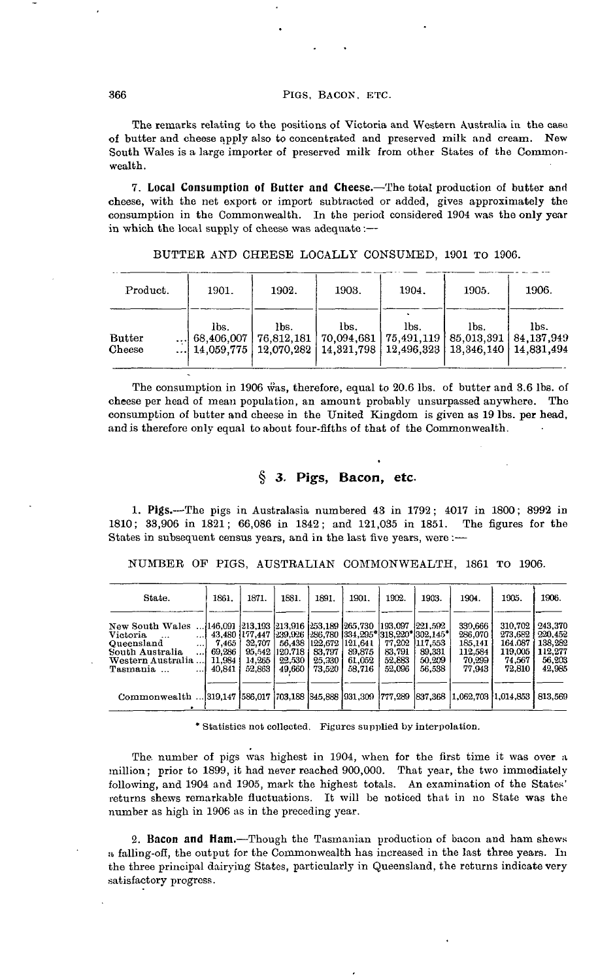#### 366 PIGS, BACON. ETC.

The remarks relating to the positions of Victoria and Western Australia in the case of hutter and cheese apply also to concentrated and preserved milk and cream. New South Wales is a large importer of preserved milk from other States of the Commonwealth.

**7. Local Consumption of Butter and Cheese.**—The total production of butter and cheese, with the net export or import subtracted or added, gives approximately the consumption in the Commonwealth. In the period considered 1904 was the only year in which the local supply of cheese was adequate :—

| Product.                | 1901. | 1902. | 1903.                                                                                                                                                                | 1904. | 1905. | 1906. |
|-------------------------|-------|-------|----------------------------------------------------------------------------------------------------------------------------------------------------------------------|-------|-------|-------|
| <b>Butter</b><br>Cheese | lbs.  | lbs.  | lbs.<br>68,406,007   76,812,181   70,094,681   75,491,119   85,013,391   84,137,949<br>$14.059.775$   12.070.282   14.321.798   12.496.323   13.346.140   14.831.494 | lbs.  | lbs.  | lbs.  |

BUTTER AND CHEESE LOCALLY CONSUMED, 1901 TO 1906.

The consumption in 1906 was, therefore, equal to 20.6 lbs. of butter and 3.6 lbs. of cheese per head of mean population, an amount probably unsurpassed anywhere. The consumption of butter and cheese in the United Kingdom is given as 19 Ibs. per head, and is therefore only equal to about four-fifths of that of the Commonwealth.

## **§ 3.** *Pigs,* **Bacon, etc-**

1. Pigs.—The pigs in Australasia numbered 43 in 1792 ; 4017 in 1800; 8992 in 1810; 33,906 in 1821; 66,086 in 1842; and 121,035 in 1851. The figures for the States in subsequent census years, and in the last five years, were :—

NUMBER OP PIGS, AUSTRALIAN COMMONWEALTH, 1861 TO 1906.

| State.                                                                                       | 1861.            | 1871.            | 1881.             | 1891.             | 1901.                                                                                                                                      | 1902.            | 1903.                         | 1904.                                    | 1905.                                    | 1906.                                    |
|----------------------------------------------------------------------------------------------|------------------|------------------|-------------------|-------------------|--------------------------------------------------------------------------------------------------------------------------------------------|------------------|-------------------------------|------------------------------------------|------------------------------------------|------------------------------------------|
| New South Wales<br><b>Victoria</b><br>$\ddotsc$<br>Queensland<br>$\cdots$<br>South Australia | 7.465<br>69,286  | 32,707<br>95.542 | 56.438<br>120.718 | 122.672<br>83,797 | , 146,091   213,193   213,916   253,189   265,730   193,097<br>43,480 177,447 239,926 286,780 334,295 318,220 302,145<br>121.641<br>89.875 | 77.202<br>83,791 | 221.592 <br>117.553<br>89,331 | 339.666<br>286.070<br>185.141<br>112,584 | 310.702<br>273.682<br>164.087<br>119.005 | 243.370<br>220.452<br>138,282<br>112,277 |
| Western Australia<br>Tasmania                                                                | 11.984<br>40.841 | 14.265<br>52,863 | 22,530<br>49.660  | 25,330<br>73.520  | 61,052<br>58.716                                                                                                                           | 52.883<br>52,096 | 50.209<br>56.538              | 70.299<br>77.943                         | 74.567<br>72.810                         | 56,203<br>42,985                         |
| Commonwealth  319,147 586,017 703,188 345,888 931,309 777,289                                |                  |                  |                   |                   |                                                                                                                                            |                  | 837,368                       | 1,062,703 1,014,853                      |                                          | 813,569                                  |

\* Statistics not collected. Figures supplied by interpolation.

The number of pigs was highest in 1904, when for the first time it was over a million; prior to 1899, it had never reached 900,000. That year, the two immediately following, and 1904 and 1905, mark the highest totals. An examination of the States' returns shews remarkable fluctuations. It will be noticed that in no State was the number as high in 1906 as in the preceding year.

**2. Bacon and Ham.**—Though the Tasmanian production of bacon and ham shews a falling-ofi, the output for the Commonwealth has increased in the last three years. In the three principal dairying States, particularly in Queensland, the returns indicate very satisfactory progress.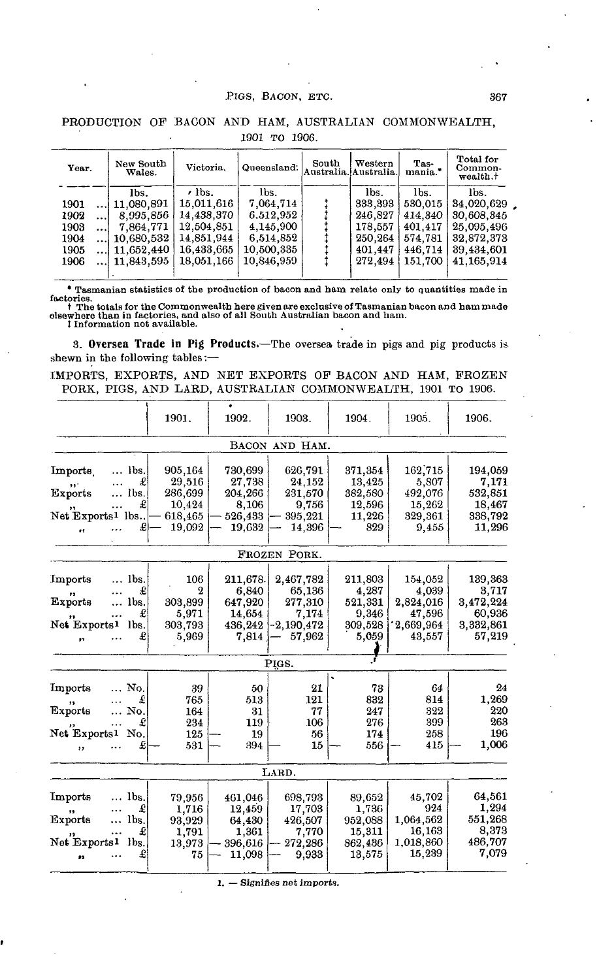#### PIGS, BACON, ETC. 367

| Year.     | New South<br>Wales. | Victoria.     | Queensland: | South | Western<br>Australia. Australia. | Tas-<br>mania.* | Total for<br>Common-<br>wealth. <sup>†</sup> |
|-----------|---------------------|---------------|-------------|-------|----------------------------------|-----------------|----------------------------------------------|
|           | lbs.                | $\prime$ lbs. | lbs.        |       | lbs.                             | lbs.            | lbs.                                         |
| 1901      | $$   11,080,891     | 15.011.616    | 7,064.714   |       | 333,393                          | 530,015         | 34,020,629                                   |
| 1902<br>  | 8.995.856           | 14.438,370    | 6.512.952   |       | 246.827                          | 414.340         | 30.608.345                                   |
| 1903<br>ا | 7.864.771           | 12.504.851    | 4,145,900   |       | 178.557                          | 401,417         | 25.095.496                                   |
| 1904      | 10,680.532          | 14,851,944    | 6,514,852   |       | 250,264                          | 574.781         | 32,872,373                                   |
| 1905      | $$   11,652,440     | 16,433,665    | 10,500,335  |       | 401.447                          | 446.714         | 39,434,601                                   |
| 1906      | $\dots 11.843.595$  | 18.051.166    | 10.846.959  |       | 272.494                          | 151.700         | 41.165.914                                   |
|           |                     |               |             |       |                                  |                 |                                              |

### PRODUCTION OF BACON AND HAM, AUSTRALIAN COMMONWEALTH, 1901 TO 1906.

\* Tasmanian statistics of the production of bacon and ham relate only to quantities made in

factories.<br>† The totals for the Commonwealth here given are exclusive of Tasmanian bacon and ham made<br>elsewhere than in factories, and also of all South Australian bacon and ham.<br>‡Information not available.

**3. Oversea Trade in Pig Products.**—The oversea trade in pigs and pig products is shewn in the following tables:—

IMPORTS, EXPORTS, AND NET EXPORTS OF BACON AND HAM, FROZEN PORK, PIGS, AND LARD, AUSTRALIAN COMMONWEALTH, 1901 TO 1906.

|                              |               | 1901.            | 1902.    | 1903.          | 1904.   | 1905.     | 1906.     |
|------------------------------|---------------|------------------|----------|----------------|---------|-----------|-----------|
|                              |               |                  |          | BACON AND HAM. |         |           |           |
| Imports                      | lbs.          | 905,164          | 730,699  | 626,791        | 371,354 | 162,715   | 194,059   |
| ,,.                          | £             | 29,516           | 27,738   | 24,152         | 13,425  | 5,807     | 7,171     |
| <b>Exports</b>               | Ibs.          | 286,699          | 204,266  | 231,570        | 382,580 | 492,076   | 532,851   |
|                              | £             | 10,424           | 8,106    | 9,756          | 12,596  | 15,262    | 18,467    |
| Net Exports <sup>1</sup> lbs |               | 618,465          | 526,433  | 395,221        | 11,226  | 329,361   | 338,792   |
| 11                           | £             | 19,092           | 19,632   | 14,396         | 829     | 9,455     | 11,296    |
|                              |               |                  |          | FROZEN PORK.   |         |           |           |
|                              |               |                  |          |                |         |           |           |
| Imports                      | lbs.          | 106              | 211,678. | 2,467,782      | 211,803 | 154,052   | 139,363   |
| .,                           | £             | $\boldsymbol{2}$ | 6,840    | 65,136         | 4,287   | 4,039     | 3,717     |
| Exports                      | lbs.          | 303,899          | 647,920  | 277,310        | 521,331 | 2,824,016 | 3,472,224 |
|                              | £             | 5,971            | 14,654   | 7.174          | 9.346   | 47,596    | 60,936    |
| Net Exports1                 | lbs.          | 303,793          | 436,242  | $-2,190,472$   | 309,528 | 2,669,964 | 3,332,861 |
| ă5                           | £             | 5,969            | 7,814    | 57,962         | 5,059   | 43,557    | 57,219    |
|                              |               |                  |          | PIGS.          |         |           |           |
|                              |               |                  |          |                |         |           |           |
| Imports                      | No.           | 39               | 50       | 21             | 73      | 64        | 24        |
|                              | £             | 765              | 513      | 121            | 832     | 814       | 1,269     |
| Exports                      | No.           | 164              | 31       | 77             | 247     | 322       | 220       |
|                              | £             | 234              | 119      | 106            | 276     | 399       | 263       |
| Net Exports <sup>1</sup>     | No.           | 125              | 19       | 56             | 174     | 258       | 196       |
| , ,                          | £             | 531              | 394      | 15             | 556     | 415       | 1,006     |
|                              |               |                  |          |                |         |           |           |
|                              |               |                  |          | LARD.          |         |           |           |
|                              |               |                  |          |                |         |           |           |
| Imports                      | lbs.          | 79,956           | 461,046  | 698,793        | 89,652  | 45,702    | 64,561    |
|                              | £             | 1,716            | 12,459   | 17,703         | 1,736   | 924       | 1,294     |
| <b>Exports</b>               | $\ldots$ lbs. | 93,929           | 64,430   | 426,507        | 952,088 | 1,064,562 | 551,268   |
|                              | £             | 1,791            | 1.361    | 7,770          | 15,311  | 16,163    | 8,373     |
| Net Exports1                 | lbs.          | 13,973           | 396,616  | 272,286        | 862,436 | 1,018,860 | 486,707   |
| J3                           | £             | 75               | 11,098   | 9,933          | 13,575  | 15,239    | 7,079     |
|                              |               |                  |          |                |         |           |           |

1. — Signifies net imports.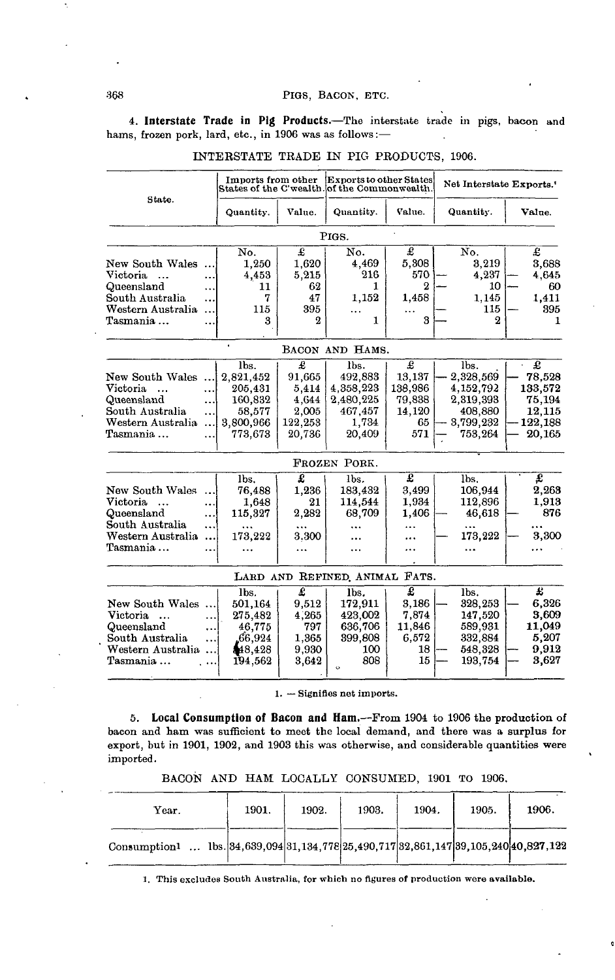#### 368 PIGS, BACON, ETC.

**4. Interstate Trade in Pig Products.**—The interstate trade in pigs, bacon and hams, frozen pork, lard, etc., in 1906 was as follows:—

|                                                                                                            |                              | Imports from other                                                        |                                                             | Exports to other States<br>States of the C'wealth. of the Commonwealth. |                                                          | Net Interstate Exports. <sup>1</sup>                                           |                                                                 |
|------------------------------------------------------------------------------------------------------------|------------------------------|---------------------------------------------------------------------------|-------------------------------------------------------------|-------------------------------------------------------------------------|----------------------------------------------------------|--------------------------------------------------------------------------------|-----------------------------------------------------------------|
| State.                                                                                                     |                              | Quantity.                                                                 | Value.                                                      | Quantity.                                                               | Value.                                                   | Quantity.                                                                      | Value.                                                          |
|                                                                                                            |                              |                                                                           |                                                             | PIGS.                                                                   |                                                          |                                                                                |                                                                 |
| New South Wales<br>Victoria<br>$\ddotsc$<br>Queensland<br>South Australia<br>Western Australia<br>Tasmania | $\ddotsc$<br><br>.<br>.<br>. | No.<br>1.250<br>4,453<br>11<br>7<br>115<br>3                              | £<br>1.620<br>5,215<br>62<br>47<br>395<br>2                 | No.<br>4,469<br>216<br>1.<br>1,152<br>.<br>1                            | £<br>5,308<br>570<br>$\overline{2}$<br>1,458<br>3        | No.<br>3,219<br>4,237<br>10<br>1.145<br>115<br>2                               | £<br>3,688<br>4,645<br>60<br>1.411<br>395<br>1                  |
|                                                                                                            |                              |                                                                           |                                                             | BACON AND HAMS.                                                         |                                                          |                                                                                |                                                                 |
| New South Wales<br>Victoria<br>$\ddotsc$<br>Queensland<br>South Australia<br>Western Australia<br>Tasmania | .<br><br><br><br>.           | lbs.<br>2,821,452<br>205,431<br>160,832<br>58,577<br>3,800,966<br>773,673 | £<br>91,665<br>5,414<br>4.644<br>2,005<br>122,253<br>20,736 | lbs.<br>492,883<br>4,358,223<br>2,480,225<br>467,457<br>1,734<br>20,409 | £<br>13,137<br>138,986<br>79,838<br>14,120<br>65.<br>571 | lbs.<br>2,328,569<br>4,152,792<br>2,319,393<br>408,880<br>3,799,232<br>753,264 | £<br>78,528<br>133,572<br>75,194<br>12,115<br>122,188<br>20,165 |
|                                                                                                            |                              |                                                                           |                                                             | FROZEN PORK.                                                            |                                                          |                                                                                |                                                                 |
| New South Wales<br>Victoria<br>$\ddotsc$<br>Queensland<br>South Australia<br>Western Australia<br>Tasmania | .<br><br>.<br><br>           | lbs.<br>76,488<br>1,648<br>115,327<br><br>173,222                         | £<br>1,236<br>21<br>2,282<br>3.300                          | lbs.<br>183,432<br>114,544<br>68,709<br><br>.                           | Ŧ<br>3.499<br>1.934<br>1,406<br>.<br>.<br>               | lbs.<br>106,944<br>112,896<br>46,618<br>$\cdots$<br>173,222<br>                | Ŧ<br>2,263<br>1,913<br>876<br>$\cdots$<br>3,300<br>$\cdots$     |
|                                                                                                            |                              |                                                                           |                                                             | LARD AND REFINED ANIMAL                                                 | FATS.                                                    |                                                                                |                                                                 |
| New South Wales<br>Victoria<br>$\ddotsc$<br>Queensland<br>South Australia<br>Western Australia<br>Tasmania | $\ddotsc$<br>.<br><br><br>.  | lbs.<br>501,164<br>275,482<br>46.775<br>66,924<br>\$48,428<br>194,562     | £<br>9,512<br>4.265<br>797<br>1,365<br>9,930<br>3,642       | lbs.<br>172,911<br>423,002<br>636,706<br>399.808<br>100<br>808<br>ò     | £<br>3.186<br>7.874<br>11,846<br>6.572<br>18<br>15       | lbs.<br>328,253<br>147,520<br>589,931<br>332,884<br>548,328<br>193,754         | £<br>6,326<br>3.609<br>11.049<br>5,207<br>9,912<br>3,627        |

### INTERSTATE TRADE IN PIG PRODUCTS, 1906.

1. — Signifies net imports.

**5. Local Consumption of Bacon and Ham.**—From 1904 to 1906 the production of bacon and ham was sufficient to meet the local demand, and there was a surplus for export, but in 1901, 1902, and 1903 this was otherwise, and considerable quantities were imported.

BACON AND HAM LOCALLY CONSUMED, 1901 TO 1906.

| Year.                                                                                   | 1901. | 1902. | 1903. | 1904. | 1905. | 1906. |
|-----------------------------------------------------------------------------------------|-------|-------|-------|-------|-------|-------|
| Consumption1  lbs. $ 34,639,094 31,134,778 25,490,717 32,861,147 39,105,240 40,827,122$ |       |       |       |       |       |       |

1. This excludes South Australia, for which no figures of production were available.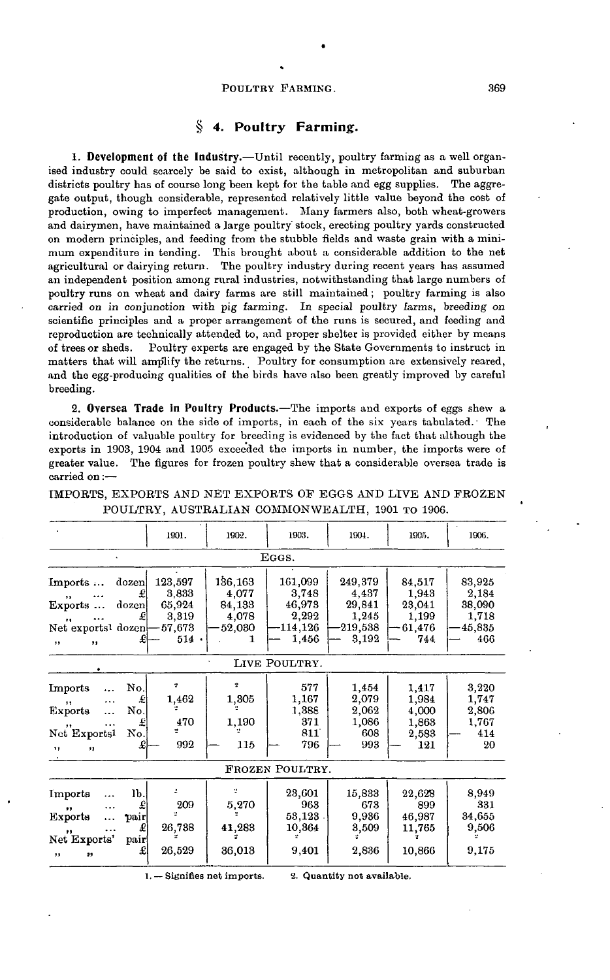#### POULTRY FARMING. 369

## **§ 4. Poultry Farming.**

**1. Development of the Industry.**—Until recently, poultry farming as a well organised industry could scarcely be said to exist, although in metropolitan and suburban districts poultry has of course long been kept for the table and egg supplies. The aggregate output, though considerable, represented relatively little value beyond the cost of production, owing to imperfect management. Many farmers also, both wheat-growers and dairymen, have maintained a large poultry' stock, erecting poultry yards constructed on modern principles, and feeding from the stubble fields and waste grain with a minimum expenditure in tending. This brought about a considerable addition to the net agricultural or dairying return. The poultry industry during recent years has assumed an independent position among rural industries, notwithstanding that large numbers of poultry runs on wheat and dairy farms are still maintained; poultry farming is also carried on in conjunction with pig farming. In special poultry farms, breeding on scientific principles and a proper arrangement of the runs is secured, and feeding and reproduction are technically attended to, and proper shelter is provided either by means of trees or sheds. Poultry experts are engaged by the State Governments to instruct in matters that will amplify the returns. Poultry for consumption are extensively reared, and the egg-producing qualities of the birds have also been greatly improved by careful breeding.

**2. Oversea Trade in Poultry Products.**—The imports and exports of eggs shew a considerable balance on the side of imports, in each of the six years tabulated.' The introduction of valuable poultry for breeding is evidenced by the fact that although the exports in 1903, 1904 and 1905 exceeded the imports in number, the imports were of greater value. The figures for frozen poultry shew that a considerable oversea trade is carried on:—

|                                                                                                                            | 1901.                                                    | 1902.                                         | 1903.                                                       | 1904.                                                   | 1905.                                               | 1906.                                               |  |  |  |  |  |  |
|----------------------------------------------------------------------------------------------------------------------------|----------------------------------------------------------|-----------------------------------------------|-------------------------------------------------------------|---------------------------------------------------------|-----------------------------------------------------|-----------------------------------------------------|--|--|--|--|--|--|
| EGGS.                                                                                                                      |                                                          |                                               |                                                             |                                                         |                                                     |                                                     |  |  |  |  |  |  |
| Imports<br>dozen.<br>£<br>$, \,$<br>dozen<br>Exports<br>£<br>$\bullet$<br>Net exports <sup>1</sup> dozen<br>£<br>,,<br>, , | 123,597<br>3,833<br>65,924<br>3,319<br>57,673<br>$514$ . | 136,163<br>4,077<br>84,133<br>4,078<br>52,030 | 161,099<br>3,748<br>46,973<br>2,292<br>$-114, 126$<br>1,456 | 249,379<br>4,437<br>29,841<br>1,245<br>219,538<br>3,192 | 84,517<br>1,943<br>23,041<br>1,199<br>61,476<br>744 | 83,925<br>2,184<br>38,090<br>1,718<br>45,835<br>466 |  |  |  |  |  |  |
|                                                                                                                            |                                                          |                                               | LIVE POULTRY.                                               |                                                         |                                                     |                                                     |  |  |  |  |  |  |
| No.<br>Imports<br>£<br><br>11<br>No.<br>Exports<br>.<br>£<br>"<br>No.<br>Net Exports <sup>1</sup><br>£<br>11<br>11         | ż,<br>1,462<br>470<br>992                                | 2<br>1,305<br>1,190<br>115                    | 577<br>1,167<br>1,388<br>371<br>811<br>796                  | 1,454<br>2,079<br>2,062<br>1,086<br>608<br>993          | 1,417<br>1,984<br>4,000<br>1,863<br>2,583<br>121    | 3,220<br>1,747<br>2,806<br>1,767<br>414<br>20       |  |  |  |  |  |  |
|                                                                                                                            |                                                          |                                               | FROZEN POULTRY.                                             |                                                         |                                                     |                                                     |  |  |  |  |  |  |
| lb.<br>Imports<br>.<br>£<br>$\cdots$<br>"<br>Exports<br>pair<br>£<br>,,<br>Net Exports'<br>pair<br>£<br>23<br>,,           | 209<br>26,738<br>26,529                                  | ÷<br>5,270<br>41,283<br>36,013                | 23,601<br>963<br>53,123<br>10,364<br>9,401                  | 15,833<br>673<br>9,936<br>3,509<br>2,836                | 22,628<br>899<br>46,987<br>11,765<br>10,866         | 8,949<br>331<br>34,655<br>9,506<br>9,175            |  |  |  |  |  |  |

IMPORTS, EXPORTS AND NET EXPORTS OP EGGS AND LIVE AND FROZEN POULTRY, AUSTRALIAN COMMONWEALTH, 1901 TO 1906.

1. — Signifies net imports. **2. Quantity not available.**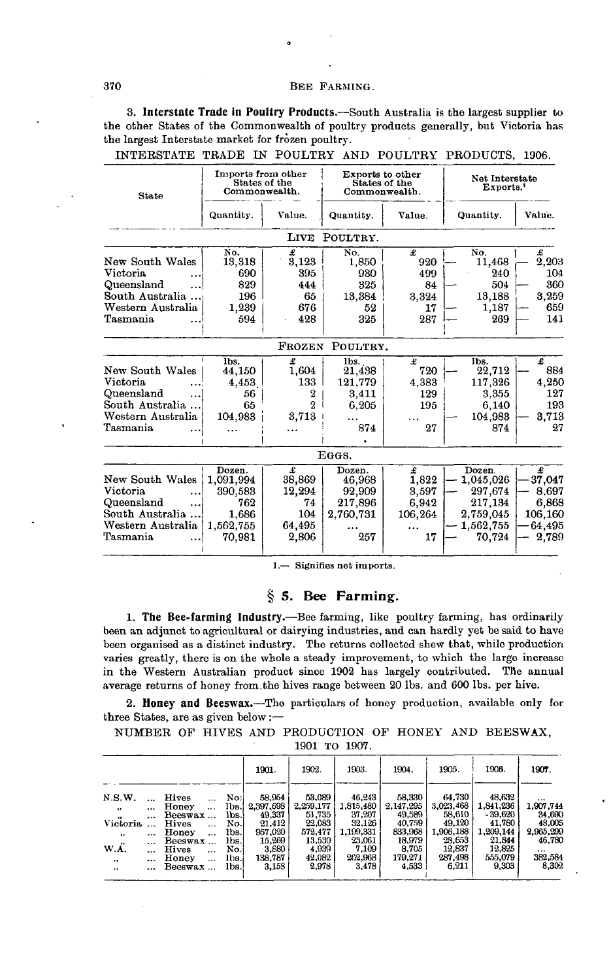### 370 BEE FARMING.

**3. Interstate Trade in Poultry Products.**—South Australia is the largest supplier to the other States of the Commonwealth of poultry products generally, but Victoria has the largest Interstate market for frozen poultry.

| <b>State</b>                                                                                  | Imports from other<br>States of the<br>Commonwealth.                  |                                                               | Exports to other<br>Commonwealth.                         | States of the                                 | Net Interstate<br>Exports.                                                    |                                                             |  |  |
|-----------------------------------------------------------------------------------------------|-----------------------------------------------------------------------|---------------------------------------------------------------|-----------------------------------------------------------|-----------------------------------------------|-------------------------------------------------------------------------------|-------------------------------------------------------------|--|--|
|                                                                                               | Quantity.                                                             | Value.                                                        | Quantity.                                                 | Value.                                        | Quantity.                                                                     | Value.                                                      |  |  |
|                                                                                               |                                                                       | LIVE                                                          | POULTRY.                                                  |                                               |                                                                               |                                                             |  |  |
| New South Wales<br>Victoria                                                                   | No.<br>13,318<br>690                                                  | £<br>3,123<br>395                                             | No.<br>1,850<br>930                                       | £<br>920<br>499                               | No.<br>11,468<br>240                                                          | £<br>2,203<br>104                                           |  |  |
| Queensland<br>South Australia                                                                 | 829<br>196                                                            | 444<br>65                                                     | 325<br>13,384                                             | 84<br>3,324                                   | 504<br>13,188                                                                 | 360<br>3,259                                                |  |  |
| Western Australia<br>Tasmania                                                                 | 1,239<br>594                                                          | 676<br>428                                                    | 52<br>325                                                 | 17<br>287                                     | 1,187<br>269                                                                  | 659<br>141                                                  |  |  |
|                                                                                               |                                                                       | FROZEN                                                        | POULTRY.                                                  |                                               |                                                                               |                                                             |  |  |
| New South Wales<br>Victoria<br>Queensland<br>South Australia<br>Western Australia<br>Tasmania | lbs.<br>44,150<br>4.453<br>56<br>65<br>104,983                        | £<br>1,604<br>133<br>2<br>$\overline{2}$<br>3,713<br>$\cdots$ | lbs.<br>$^{21,438}$<br>121.779<br>3,411<br>6.205<br>874   | £<br>720<br>4,383<br>129<br>195<br>27         | lbs.<br>22,712<br>117.326<br>3,355<br>6,140<br>104,983<br>874                 | £<br>884<br>4,250<br>127<br>193<br>3,713<br>27              |  |  |
|                                                                                               |                                                                       |                                                               | EGGS.                                                     |                                               |                                                                               |                                                             |  |  |
| New South Wales<br>Victoria<br>Queensland<br>South Australia<br>Western Australia<br>Tasmania | Dozen.<br>1,091,994<br>390,583<br>762<br>1.686<br>1,562,755<br>70.981 | £<br>38,869<br>12.294<br>74<br>104<br>64,495<br>2,806         | Dozen.<br>46,968<br>92,909<br>217,896<br>2,760,731<br>257 | £<br>1,822<br>3,597<br>6,942<br>106,264<br>17 | Dozen.<br>1,045,026<br>297,674<br>217,134<br>2,759,045<br>1,562,755<br>70.724 | £<br>37,047<br>8.697<br>6,868<br>106,160<br>64,495<br>2.789 |  |  |

INTERSTATE TBADE IN POULTRY AND POULTRY PRODUCTS, 1906.

1.— Signifies net imports.

#### **§ 5. Bee Farming.**

**1. The Bee-farming Industry.**—Bee farming, like poultry farming, has ordinarily been an adjunct to agricultural or dairying industries, and can hardly yet be said to have been organised as a distinct industry. The returns collected shew that, while production varies greatly, there is on the whole a steady improvement, to which the large increase in the Western Australian product since 1902 has largely contributed. The annual average returns of honey from.the hives range between 20 Ibs. and 600 Ibs. per hive.

**2. Honey and Beeswax.**—-The particulars of honey production, available only for three States, are as given below :—

NUMBER OF HIVES AND PRODUCTION OF HONEY AND BEESWAX, 1901 TO 1907.

|                      |          |                          |                 | 1901.     | 1902.     | 1903.     | 1904.     | 1905.     | 1906.     | 1907.     |  |  |
|----------------------|----------|--------------------------|-----------------|-----------|-----------|-----------|-----------|-----------|-----------|-----------|--|--|
| N.S.W.               |          | Hives<br>$\cdots$        | No:l            | 58.954    | 53,089    | 46,243    | 58,330    | 64.730    | 48.632    |           |  |  |
| $\cdot$              | $\cdots$ | Honey<br>$\cdots$        | 1 <sub>bs</sub> | 2,397,698 | 2.259,177 | 1,815,480 | 2,147,295 | 3,023,468 | 1,841,236 | 1.907.744 |  |  |
| $\bullet\bullet$     | $\cdots$ | Beeswax                  | lbs.!           | 49.337    | 51,735    | 37,207    | 49,589    | 58.610    | $-39.620$ | 34.690    |  |  |
| Victoria             |          | <b>Hives</b><br>$\cdots$ | No.             | 21,412    | 22,083    | 32,126    | 40.759    | 49.120    | 41,780    | 48.005    |  |  |
| $\ddot{\phantom{0}}$ |          | Honey<br>$\cdots$        | lbs.            | 957,020   | 572.477   | 1.199.331 | 833.968   | 1.906.188 | 1.209.144 | 2,965,299 |  |  |
| $^{\prime\prime}$    | $\cdots$ | Beeswax                  | lbs.            | 15,269    | 13,530    | 23,061    | 18.979    | 28.653    | 21.844    | 46.780    |  |  |
| W.A.                 |          | Hives<br>$\cdots$        | No.l            | 3.880     | 4,939     | 7,109     | 8.705     | 12,837    | 12.825    |           |  |  |
| ,,                   |          | Honey<br>$\cdots$        | Ibs.i           | 138,787   | 42,082    | 262.968   | 179.271   | 287.498   | 555.079   | 382,584   |  |  |
| .,                   |          | Beeswax                  | lbs.            | 3,158     | 2,978     | 3,478     | 4,533     | 6.211     | 9,303     | 8,302     |  |  |